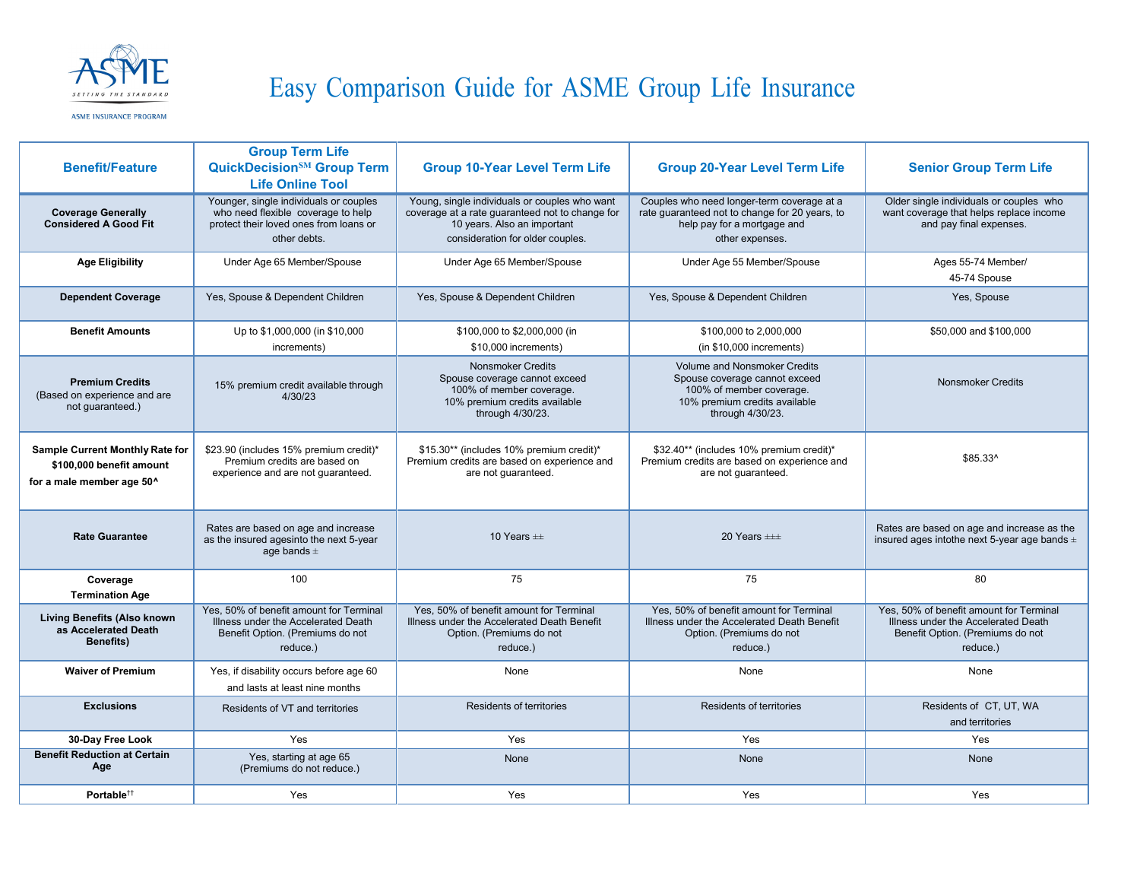

## Easy Comparison Guide for ASME Group Life Insurance

ASME INSURANCE PROGRAM

| <b>Benefit/Feature</b>                                                                   | <b>Group Term Life</b><br><b>QuickDecision<sup>SM</sup></b> Group Term<br><b>Life Online Tool</b>                                      | <b>Group 10-Year Level Term Life</b>                                                                                                                                | <b>Group 20-Year Level Term Life</b>                                                                                                           | <b>Senior Group Term Life</b>                                                                                                  |
|------------------------------------------------------------------------------------------|----------------------------------------------------------------------------------------------------------------------------------------|---------------------------------------------------------------------------------------------------------------------------------------------------------------------|------------------------------------------------------------------------------------------------------------------------------------------------|--------------------------------------------------------------------------------------------------------------------------------|
| <b>Coverage Generally</b><br><b>Considered A Good Fit</b>                                | Younger, single individuals or couples<br>who need flexible coverage to help<br>protect their loved ones from loans or<br>other debts. | Young, single individuals or couples who want<br>coverage at a rate guaranteed not to change for<br>10 years. Also an important<br>consideration for older couples. | Couples who need longer-term coverage at a<br>rate guaranteed not to change for 20 years, to<br>help pay for a mortgage and<br>other expenses. | Older single individuals or couples who<br>want coverage that helps replace income<br>and pay final expenses.                  |
| <b>Age Eligibility</b>                                                                   | Under Age 65 Member/Spouse                                                                                                             | Under Age 65 Member/Spouse                                                                                                                                          | Under Age 55 Member/Spouse                                                                                                                     | Ages 55-74 Member/<br>45-74 Spouse                                                                                             |
| <b>Dependent Coverage</b>                                                                | Yes, Spouse & Dependent Children                                                                                                       | Yes, Spouse & Dependent Children                                                                                                                                    | Yes, Spouse & Dependent Children                                                                                                               | Yes, Spouse                                                                                                                    |
| <b>Benefit Amounts</b>                                                                   | Up to \$1,000,000 (in \$10,000<br>increments)                                                                                          | \$100,000 to \$2,000,000 (in<br>\$10,000 increments)                                                                                                                | \$100,000 to 2,000,000<br>$(in $10,000$ increments)                                                                                            | \$50,000 and \$100,000                                                                                                         |
| <b>Premium Credits</b><br>(Based on experience and are<br>not guaranteed.)               | 15% premium credit available through<br>4/30/23                                                                                        | <b>Nonsmoker Credits</b><br>Spouse coverage cannot exceed<br>100% of member coverage.<br>10% premium credits available<br>through 4/30/23.                          | Volume and Nonsmoker Credits<br>Spouse coverage cannot exceed<br>100% of member coverage.<br>10% premium credits available<br>through 4/30/23. | <b>Nonsmoker Credits</b>                                                                                                       |
| Sample Current Monthly Rate for<br>\$100,000 benefit amount<br>for a male member age 50^ | \$23.90 (includes 15% premium credit)*<br>Premium credits are based on<br>experience and are not guaranteed.                           | \$15.30** (includes 10% premium credit)*<br>Premium credits are based on experience and<br>are not guaranteed.                                                      | \$32.40** (includes 10% premium credit)*<br>Premium credits are based on experience and<br>are not guaranteed.                                 | \$85.33^                                                                                                                       |
| <b>Rate Guarantee</b>                                                                    | Rates are based on age and increase<br>as the insured agesinto the next 5-year<br>age bands $\pm$                                      | 10 Years $\pm$                                                                                                                                                      | 20 Years $\pm\pm$                                                                                                                              | Rates are based on age and increase as the<br>insured ages intothe next 5-year age bands $\pm$                                 |
| Coverage<br><b>Termination Age</b>                                                       | 100                                                                                                                                    | 75                                                                                                                                                                  | 75                                                                                                                                             | 80                                                                                                                             |
| <b>Living Benefits (Also known</b><br>as Accelerated Death<br><b>Benefits)</b>           | Yes. 50% of benefit amount for Terminal<br>Illness under the Accelerated Death<br>Benefit Option. (Premiums do not<br>reduce.)         | Yes, 50% of benefit amount for Terminal<br>Illness under the Accelerated Death Benefit<br>Option. (Premiums do not<br>reduce.)                                      | Yes, 50% of benefit amount for Terminal<br>Illness under the Accelerated Death Benefit<br>Option. (Premiums do not<br>reduce.)                 | Yes, 50% of benefit amount for Terminal<br>Illness under the Accelerated Death<br>Benefit Option. (Premiums do not<br>reduce.) |
| <b>Waiver of Premium</b>                                                                 | Yes, if disability occurs before age 60<br>and lasts at least nine months                                                              | None                                                                                                                                                                | None                                                                                                                                           | None                                                                                                                           |
| <b>Exclusions</b>                                                                        | Residents of VT and territories                                                                                                        | Residents of territories                                                                                                                                            | Residents of territories                                                                                                                       | Residents of CT, UT, WA<br>and territories                                                                                     |
| 30-Day Free Look                                                                         | Yes                                                                                                                                    | Yes                                                                                                                                                                 | Yes                                                                                                                                            | Yes                                                                                                                            |
| <b>Benefit Reduction at Certain</b><br>Age                                               | Yes, starting at age 65<br>(Premiums do not reduce.)                                                                                   | None                                                                                                                                                                | None                                                                                                                                           | None                                                                                                                           |
| Portable <sup>tt</sup>                                                                   | Yes                                                                                                                                    | Yes                                                                                                                                                                 | Yes                                                                                                                                            | Yes                                                                                                                            |